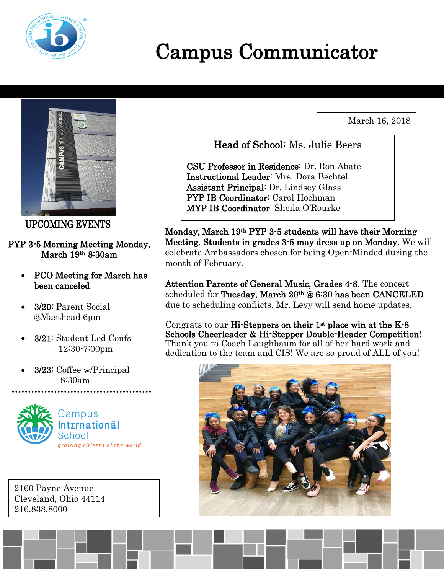

# Campus Communicator

March 16, 2018



UPCOMING EVENTS

## PYP 3-5 Morning Meeting Monday, March 19th 8:30am

- PCO Meeting for March has been canceled
- 3/20: Parent Social @Masthead 6pm
- 3/21: Student Led Confs 12:30-7:00pm
- 3/23: Coffee w/Principal 8:30am



2160 Payne Avenue Cleveland, Ohio 44114 216.838.8000

Head of School: Ms. Julie Beers

CSU Professor in Residence: Dr. Ron Abate Instructional Leader: Mrs. Dora Bechtel Assistant Principal: Dr. Lindsey Glass PYP IB Coordinator: Carol Hochman MYP IB Coordinator: Sheila O'Rourke

Monday, March 19th PYP 3-5 students will have their Morning Meeting. Students in grades 3-5 may dress up on Monday. We will celebrate Ambassadors chosen for being Open-Minded during the month of February.

Attention Parents of General Music, Grades 4-8. The concert scheduled for Tuesday, March 20<sup>th</sup> @ 6:30 has been CANCELED due to scheduling conflicts. Mr. Levy will send home updates.

Congrats to our Hi-Steppers on their  $1<sup>st</sup>$  place win at the K-8 Schools Cheerleader & Hi-Stepper Double-Header Competition! Thank you to Coach Laughbaum for all of her hard work and dedication to the team and CIS! We are so proud of ALL of you!